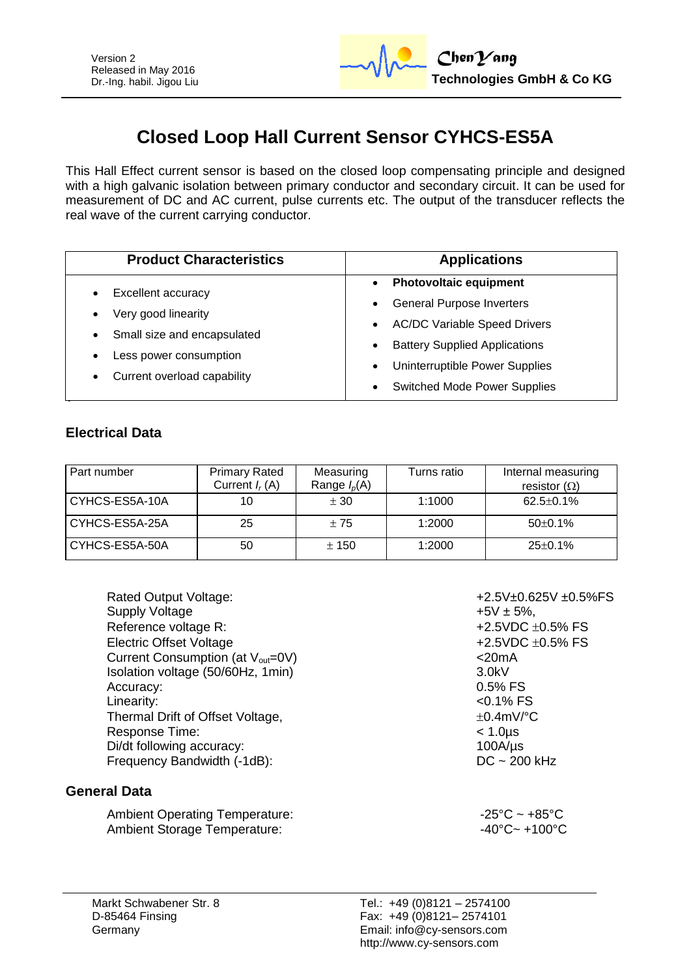

# **Closed Loop Hall Current Sensor CYHCS-ES5A**

This Hall Effect current sensor is based on the closed loop compensating principle and designed with a high galvanic isolation between primary conductor and secondary circuit. It can be used for measurement of DC and AC current, pulse currents etc. The output of the transducer reflects the real wave of the current carrying conductor.

| <b>Product Characteristics</b>                                                  | <b>Applications</b>                               |  |  |  |
|---------------------------------------------------------------------------------|---------------------------------------------------|--|--|--|
| Excellent accuracy<br>$\bullet$                                                 | <b>Photovoltaic equipment</b><br>$\bullet$        |  |  |  |
| Very good linearity<br>$\bullet$                                                | <b>General Purpose Inverters</b><br>$\bullet$     |  |  |  |
|                                                                                 | <b>AC/DC Variable Speed Drivers</b><br>$\bullet$  |  |  |  |
| Small size and encapsulated<br>$\bullet$<br>Less power consumption<br>$\bullet$ | <b>Battery Supplied Applications</b><br>$\bullet$ |  |  |  |
|                                                                                 | Uninterruptible Power Supplies<br>$\bullet$       |  |  |  |
| Current overload capability<br>$\bullet$                                        | <b>Switched Mode Power Supplies</b><br>$\bullet$  |  |  |  |

#### **Electrical Data**

| Part number    | <b>Primary Rated</b><br>Current $I_r(A)$ | Measuring<br>Range $I_p(A)$ | Turns ratio | Internal measuring<br>resistor $(\Omega)$ |
|----------------|------------------------------------------|-----------------------------|-------------|-------------------------------------------|
| CYHCS-ES5A-10A | 10                                       | ± 30                        | 1:1000      | $62.5 \pm 0.1\%$                          |
| CYHCS-ES5A-25A | 25                                       | ±75                         | 1:2000      | $50\pm0.1\%$                              |
| CYHCS-ES5A-50A | 50                                       | ± 150                       | 1:2000      | $25 \pm 0.1\%$                            |

| Rated Output Voltage:                           | $+2.5V±0$     |
|-------------------------------------------------|---------------|
| <b>Supply Voltage</b>                           | $+5V \pm 59$  |
| Reference voltage R:                            | $+2.5VDC$     |
| <b>Electric Offset Voltage</b>                  | $+2.5VDC$     |
| Current Consumption (at $V_{\text{out}} = 0V$ ) | $<$ 20mA      |
| Isolation voltage (50/60Hz, 1min)               | 3.0kV         |
| Accuracy:                                       | 0.5% FS       |
| Linearity:                                      | $<$ 0.1% F    |
| Thermal Drift of Offset Voltage,                | $\pm$ 0.4mV/  |
| Response Time:                                  | $< 1.0 \mu s$ |
| Di/dt following accuracy:                       | $100A/\mu s$  |
| Frequency Bandwidth (-1dB):                     | $DC \sim 20$  |

#### **General Data**

Ambient Operating Temperature:  $-25^{\circ}$ C ~ +85°C Ambient Storage Temperature:  $-40^{\circ}$ C ~ +100°C

 $+2.5V\pm 0.625V \pm 0.5%$ FS  $+5V \pm 5\%$ , +2.5VDC  $\pm 0.5\%$  FS +2.5VDC  $\pm$ 0.5% FS  $< 0.1\%$  FS  $\pm 0.4$ mV/°C  $100A/µs$  $DC ~ 200$  kHz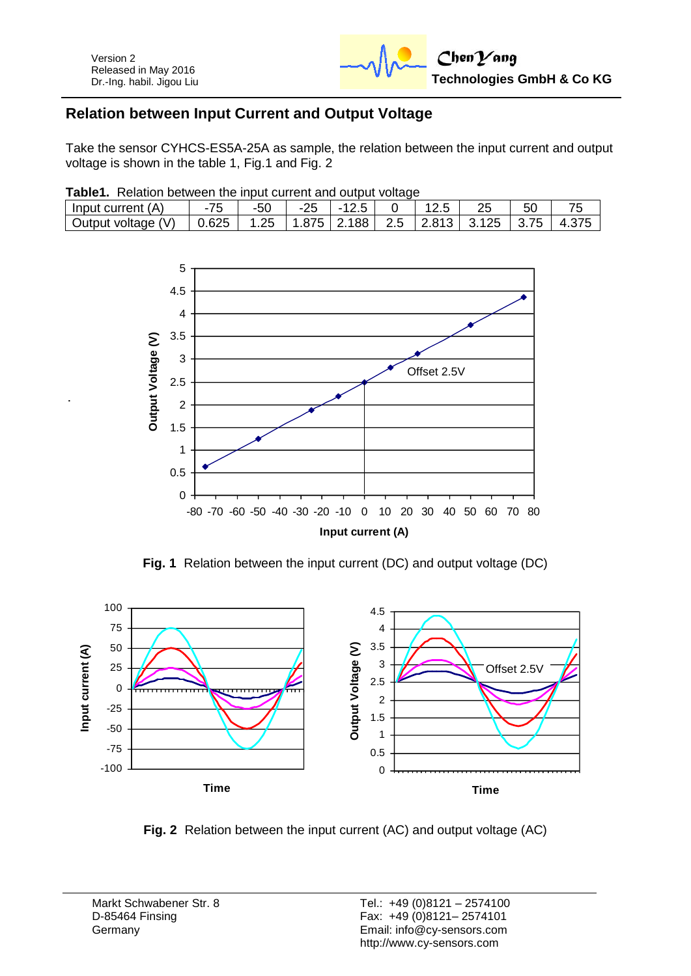

### **Relation between Input Current and Output Voltage**

Take the sensor CYHCS-ES5A-25A as sample, the relation between the input current and output voltage is shown in the table 1, Fig.1 and Fig. 2

|  |  |  | Table1. Relation between the input current and output voltage |
|--|--|--|---------------------------------------------------------------|
|  |  |  |                                                               |

| (A)<br>Input current |       | $-50$ | -25 | - 1             |      |       |       |  |
|----------------------|-------|-------|-----|-----------------|------|-------|-------|--|
| Output voltage (V)   | 0.625 | 1.25  |     | $1.875$   2.188 | 12.5 | 2.813 | 3.125 |  |



**Fig. 1** Relation between the input current (DC) and output voltage (DC)



**Fig. 2** Relation between the input current (AC) and output voltage (AC)